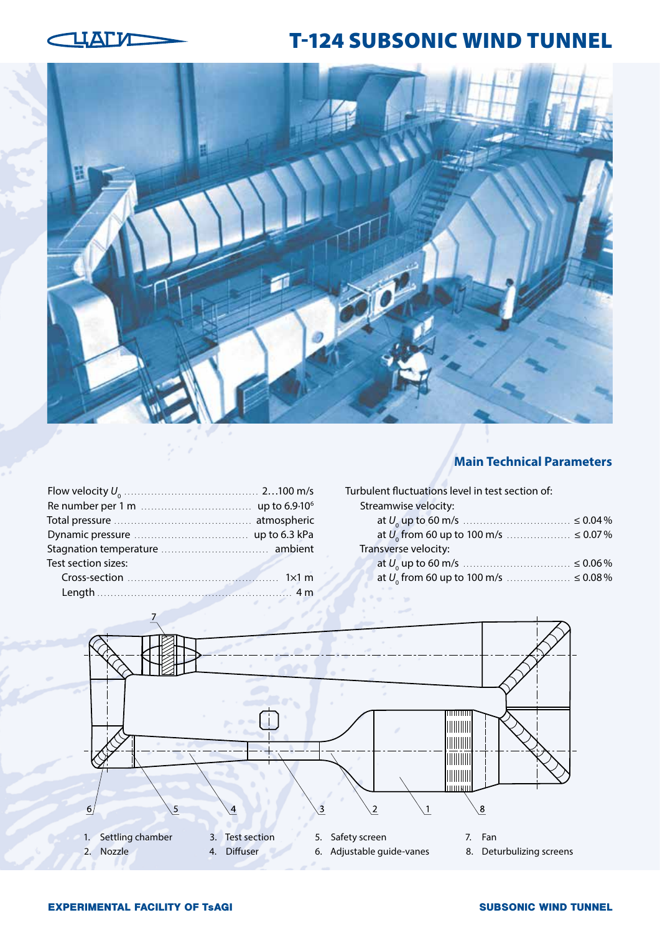

# T-124 SUBSONIC WIND TUNNEL



## **Main Technical Parameters**

| Test section sizes: |  |
|---------------------|--|
|                     |  |
|                     |  |

Turbulent fluctuations level in test section of: Streamwise velocity:

| Transverse velocity: |  |
|----------------------|--|
|                      |  |
|                      |  |